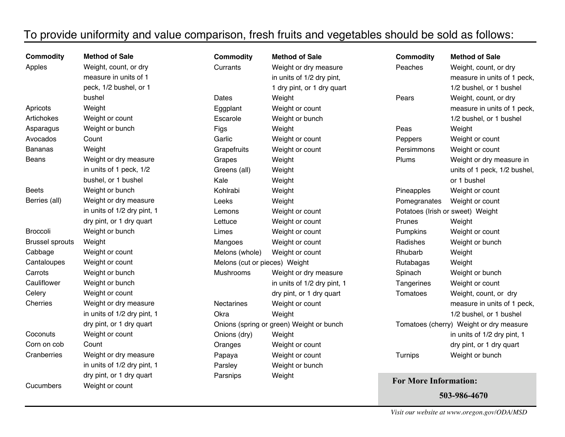## To provide uniformity and value comparison, fresh fruits and vegetables should be sold as follows:

| <b>Commodity</b>       | <b>Method of Sale</b>       | <b>Commodity</b>              | <b>Method of Sale</b>                    | <b>Commodity</b>                        | <b>Method of Sale</b>        |
|------------------------|-----------------------------|-------------------------------|------------------------------------------|-----------------------------------------|------------------------------|
| Apples                 | Weight, count, or dry       | Currants                      | Weight or dry measure                    | Peaches                                 | Weight, count, or dry        |
|                        | measure in units of 1       |                               | in units of 1/2 dry pint,                |                                         | measure in units of 1 peck,  |
|                        | peck, 1/2 bushel, or 1      |                               | 1 dry pint, or 1 dry quart               |                                         | 1/2 bushel, or 1 bushel      |
|                        | bushel                      | Dates                         | Weight                                   | Pears                                   | Weight, count, or dry        |
| Apricots               | Weight                      | Eggplant                      | Weight or count                          |                                         | measure in units of 1 peck,  |
| Artichokes             | Weight or count             | Escarole                      | Weight or bunch                          |                                         | 1/2 bushel, or 1 bushel      |
| Asparagus              | Weight or bunch             | Figs                          | Weight                                   | Peas                                    | Weight                       |
| Avocados               | Count                       | Garlic                        | Weight or count                          | Peppers                                 | Weight or count              |
| <b>Bananas</b>         | Weight                      | Grapefruits                   | Weight or count                          | Persimmons                              | Weight or count              |
| Beans                  | Weight or dry measure       | Grapes                        | Weight                                   | Plums                                   | Weight or dry measure in     |
|                        | in units of 1 peck, 1/2     | Greens (all)                  | Weight                                   |                                         | units of 1 peck, 1/2 bushel, |
|                        | bushel, or 1 bushel         | Kale                          | Weight                                   |                                         | or 1 bushel                  |
| <b>Beets</b>           | Weight or bunch             | Kohlrabi                      | Weight                                   | Pineapples                              | Weight or count              |
| Berries (all)          | Weight or dry measure       | Leeks                         | Weight                                   | Pomegranates                            | Weight or count              |
|                        | in units of 1/2 dry pint, 1 | Lemons                        | Weight or count                          | Potatoes (Irish or sweet) Weight        |                              |
|                        | dry pint, or 1 dry quart    | Lettuce                       | Weight or count                          | Prunes                                  | Weight                       |
| <b>Broccoli</b>        | Weight or bunch             | Limes                         | Weight or count                          | Pumpkins                                | Weight or count              |
| <b>Brussel sprouts</b> | Weight                      | Mangoes                       | Weight or count                          | Radishes                                | Weight or bunch              |
| Cabbage                | Weight or count             | Melons (whole)                | Weight or count                          | Rhubarb                                 | Weight                       |
| Cantaloupes            | Weight or count             | Melons (cut or pieces) Weight |                                          | Rutabagas                               | Weight                       |
| Carrots                | Weight or bunch             | Mushrooms                     | Weight or dry measure                    | Spinach                                 | Weight or bunch              |
| Cauliflower            | Weight or bunch             |                               | in units of 1/2 dry pint, 1              | Tangerines                              | Weight or count              |
| Celery                 | Weight or count             |                               | dry pint, or 1 dry quart                 | Tomatoes                                | Weight, count, or dry        |
| Cherries               | Weight or dry measure       | Nectarines                    | Weight or count                          |                                         | measure in units of 1 peck,  |
|                        | in units of 1/2 dry pint, 1 | Okra                          | Weight                                   |                                         | 1/2 bushel, or 1 bushel      |
|                        | dry pint, or 1 dry quart    |                               | Onions (spring or green) Weight or bunch | Tomatoes (cherry) Weight or dry measure |                              |
| Coconuts               | Weight or count             | Onions (dry)                  | Weight                                   |                                         | in units of 1/2 dry pint, 1  |
| Corn on cob            | Count                       | Oranges                       | Weight or count                          |                                         | dry pint, or 1 dry quart     |
| Cranberries            | Weight or dry measure       | Papaya                        | Weight or count                          | Turnips                                 | Weight or bunch              |
|                        | in units of 1/2 dry pint, 1 | Parsley                       | Weight or bunch                          |                                         |                              |
|                        | dry pint, or 1 dry quart    | Parsnips                      | Weight                                   |                                         |                              |
| Cucumbers              | Weight or count             |                               |                                          | <b>For More Information:</b>            |                              |

503-986-4670